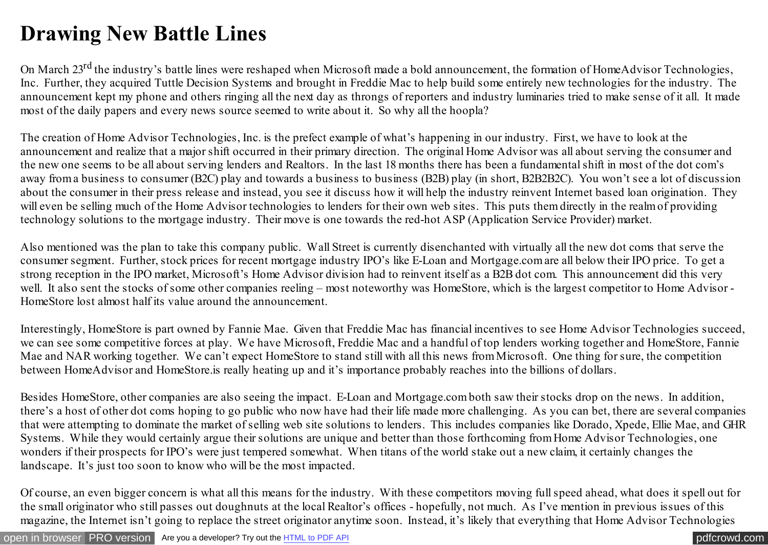## **Drawing New Battle Lines**

On March 23<sup>rd</sup> the industry's battle lines were reshaped when Microsoft made a bold announcement, the formation of HomeAdvisor Technologies, Inc. Further, they acquired Tuttle Decision Systems and brought in Freddie Mac to help build some entirely new technologies for the industry. The announcement kept my phone and others ringing all the next day as throngs of reporters and industry luminaries tried to make sense of it all. It made most of the daily papers and every news source seemed to write about it. So why all the hoopla?

The creation of Home Advisor Technologies, Inc. is the prefect example of what's happening in our industry. First, we have to look at the announcement and realize that a major shift occurred in their primary direction. The original Home Advisor was all about serving the consumer and the new one seems to be all about serving lenders and Realtors. In the last 18 months there has been a fundamental shift in most of the dot com's away from a business to consumer (B2C) play and towards a business to business (B2B) play (in short, B2B2B2C). You won't see a lot of discussion about the consumer in their press release and instead, you see it discuss how it will help the industry reinvent Internet based loan origination. They will even be selling much of the Home Advisor technologies to lenders for their own web sites. This puts them directly in the realm of providing technology solutions to the mortgage industry. Their move is one towards the red-hot ASP (Application Service Provider) market.

Also mentioned was the plan to take this company public. Wall Street is currently disenchanted with virtually all the new dot coms that serve the consumer segment. Further, stock prices for recent mortgage industry IPO's like E-Loan and Mortgage.com are all below their IPO price. To get a strong reception in the IPO market, Microsoft's Home Advisor division had to reinvent itself as a B2B dot com. This announcement did this very well. It also sent the stocks of some other companies reeling – most noteworthy was HomeStore, which is the largest competitor to Home Advisor -HomeStore lost almost half its value around the announcement.

Interestingly, HomeStore is part owned by Fannie Mae. Given that Freddie Mac has financial incentives to see Home Advisor Technologies succeed, we can see some competitive forces at play. We have Microsoft, Freddie Mac and a handful of top lenders working together and HomeStore, Fannie Mae and NAR working together. We can't expect HomeStore to stand still with all this news from Microsoft. One thing for sure, the competition between HomeAdvisor and HomeStore.is really heating up and it's importance probably reaches into the billions of dollars.

Besides HomeStore, other companies are also seeing the impact. E-Loan and Mortgage.com both saw their stocks drop on the news. In addition, there's a host of other dot coms hoping to go public who now have had their life made more challenging. As you can bet, there are several companies that were attempting to dominate the market of selling web site solutions to lenders. This includes companies like Dorado, Xpede, Ellie Mae, and GHR Systems. While they would certainly argue their solutions are unique and better than those forthcoming from Home Advisor Technologies, one wonders if their prospects for IPO's were just tempered somewhat. When titans of the world stake out a new claim, it certainly changes the landscape. It's just too soon to know who will be the most impacted.

Of course, an even bigger concern is what all this means for the industry. With these competitors moving full speed ahead, what does it spell out for the small originator who still passes out doughnuts at the local Realtor's offices - hopefully, not much. As I've mention in previous issues of this magazine, the Internet isn't going to replace the street originator anytime soon. Instead, it's likely that everything that Home Advisor Technologies